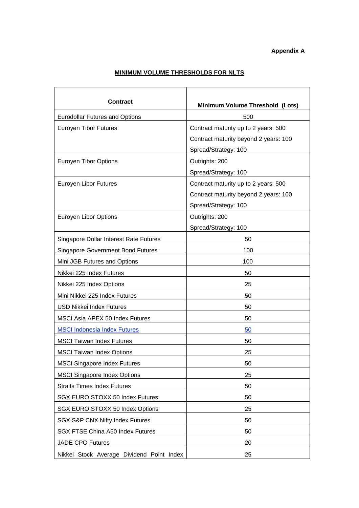## **MINIMUM VOLUME THRESHOLDS FOR NLTS**

| <b>Contract</b>                           | Minimum Volume Threshold (Lots)       |  |
|-------------------------------------------|---------------------------------------|--|
| <b>Eurodollar Futures and Options</b>     | 500                                   |  |
| <b>Euroyen Tibor Futures</b>              | Contract maturity up to 2 years: 500  |  |
|                                           | Contract maturity beyond 2 years: 100 |  |
|                                           | Spread/Strategy: 100                  |  |
| <b>Euroyen Tibor Options</b>              | Outrights: 200                        |  |
|                                           | Spread/Strategy: 100                  |  |
| Euroyen Libor Futures                     | Contract maturity up to 2 years: 500  |  |
|                                           | Contract maturity beyond 2 years: 100 |  |
|                                           | Spread/Strategy: 100                  |  |
| Euroyen Libor Options                     | Outrights: 200                        |  |
|                                           | Spread/Strategy: 100                  |  |
| Singapore Dollar Interest Rate Futures    | 50                                    |  |
| <b>Singapore Government Bond Futures</b>  | 100                                   |  |
| Mini JGB Futures and Options              | 100                                   |  |
| Nikkei 225 Index Futures                  | 50                                    |  |
| Nikkei 225 Index Options                  | 25                                    |  |
| Mini Nikkei 225 Index Futures             | 50                                    |  |
| <b>USD Nikkei Index Futures</b>           | 50                                    |  |
| MSCI Asia APEX 50 Index Futures           | 50                                    |  |
| <b>MSCI Indonesia Index Futures</b>       | 50                                    |  |
| <b>MSCI Taiwan Index Futures</b>          | 50                                    |  |
| <b>MSCI Taiwan Index Options</b>          | 25                                    |  |
| <b>MSCI Singapore Index Futures</b>       | 50                                    |  |
| <b>MSCI Singapore Index Options</b>       | 25                                    |  |
| <b>Straits Times Index Futures</b>        | 50                                    |  |
| SGX EURO STOXX 50 Index Futures           | 50                                    |  |
| SGX EURO STOXX 50 Index Options           | 25                                    |  |
| SGX S&P CNX Nifty Index Futures           | 50                                    |  |
| <b>SGX FTSE China A50 Index Futures</b>   | 50                                    |  |
| <b>JADE CPO Futures</b>                   | 20                                    |  |
| Nikkei Stock Average Dividend Point Index | 25                                    |  |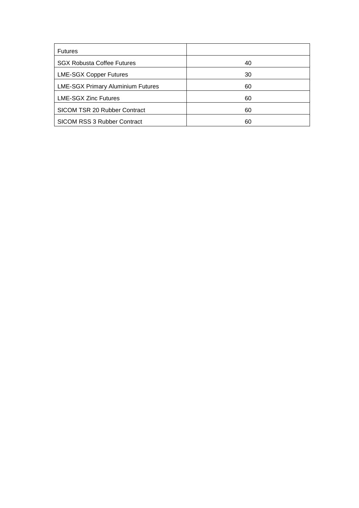| <b>Futures</b>                           |    |
|------------------------------------------|----|
| <b>SGX Robusta Coffee Futures</b>        | 40 |
| <b>LME-SGX Copper Futures</b>            | 30 |
| <b>LME-SGX Primary Aluminium Futures</b> | 60 |
| <b>LME-SGX Zinc Futures</b>              | 60 |
| SICOM TSR 20 Rubber Contract             | 60 |
| SICOM RSS 3 Rubber Contract              | 60 |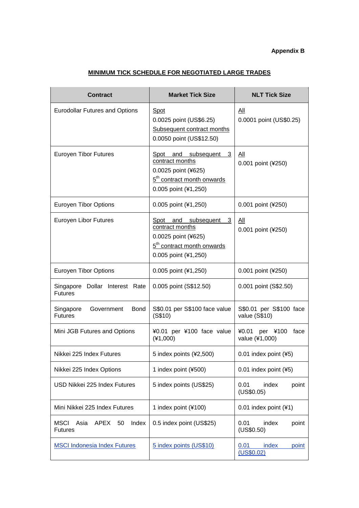## **Appendix B**

## **MINIMUM TICK SCHEDULE FOR NEGOTIATED LARGE TRADES**

| <b>Contract</b>                                              | <b>Market Tick Size</b>                                                                                                                    | <b>NLT Tick Size</b>                         |
|--------------------------------------------------------------|--------------------------------------------------------------------------------------------------------------------------------------------|----------------------------------------------|
| <b>Eurodollar Futures and Options</b>                        | <b>Spot</b><br>0.0025 point (US\$6.25)<br>Subsequent contract months<br>0.0050 point (US\$12.50)                                           | $\underline{All}$<br>0.0001 point (US\$0.25) |
| <b>Euroyen Tibor Futures</b>                                 | subsequent<br>and<br>3<br>Spot<br>contract months<br>0.0025 point (¥625)<br>5 <sup>th</sup> contract month onwards<br>0.005 point (¥1,250) | All<br>0.001 point (¥250)                    |
| <b>Euroyen Tibor Options</b>                                 | 0.005 point (¥1,250)                                                                                                                       | 0.001 point (¥250)                           |
| Euroyen Libor Futures                                        | Spot and subsequent 3<br>contract months<br>0.0025 point (¥625)<br>5 <sup>th</sup> contract month onwards<br>0.005 point (¥1,250)          | All<br>0.001 point (¥250)                    |
| <b>Euroyen Tibor Options</b>                                 | 0.005 point (¥1,250)                                                                                                                       | 0.001 point (¥250)                           |
| Singapore<br>Dollar Interest Rate<br><b>Futures</b>          | 0.005 point (S\$12.50)                                                                                                                     | 0.001 point (S\$2.50)                        |
| <b>Bond</b><br>Singapore<br>Government<br><b>Futures</b>     | S\$0.01 per S\$100 face value<br>(S\$10)                                                                                                   | S\$0.01 per S\$100 face<br>value (S\$10)     |
| Mini JGB Futures and Options                                 | ¥0.01 per ¥100 face value<br>$(*1,000)$                                                                                                    | per ¥100<br>face<br>¥0.01<br>value (¥1,000)  |
| Nikkei 225 Index Futures                                     | 5 index points (¥2,500)                                                                                                                    | 0.01 index point (¥5)                        |
| Nikkei 225 Index Options                                     | 1 index point (¥500)                                                                                                                       | 0.01 index point (¥5)                        |
| USD Nikkei 225 Index Futures                                 | 5 index points (US\$25)                                                                                                                    | index<br>0.01<br>point<br>(US\$0.05)         |
| Mini Nikkei 225 Index Futures                                | 1 index point (¥100)                                                                                                                       | 0.01 index point (¥1)                        |
| Index<br><b>MSCI</b><br>Asia<br>APEX<br>50<br><b>Futures</b> | 0.5 index point (US\$25)                                                                                                                   | 0.01<br>index<br>point<br>(US\$0.50)         |
| <b>MSCI Indonesia Index Futures</b>                          | 5 index points (US\$10)                                                                                                                    | 0.01<br>index<br>point<br>(US\$0.02)         |